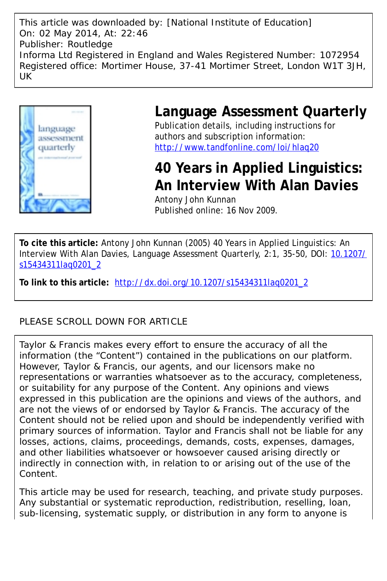This article was downloaded by: [National Institute of Education] On: 02 May 2014, At: 22:46 Publisher: Routledge Informa Ltd Registered in England and Wales Registered Number: 1072954 Registered office: Mortimer House, 37-41 Mortimer Street, London W1T 3JH, UK



# **Language Assessment Quarterly**

Publication details, including instructions for authors and subscription information: <http://www.tandfonline.com/loi/hlaq20>

# **40 Years in Applied Linguistics: An Interview With Alan Davies**

Antony John Kunnan Published online: 16 Nov 2009.

**To cite this article:** Antony John Kunnan (2005) 40 Years in Applied Linguistics: An Interview With Alan Davies, Language Assessment Quarterly, 2:1, 35-50, DOI: [10.1207/](http://www.tandfonline.com/action/showCitFormats?doi=10.1207/s15434311laq0201_2) [s15434311laq0201\\_2](http://www.tandfonline.com/action/showCitFormats?doi=10.1207/s15434311laq0201_2)

**To link to this article:** [http://dx.doi.org/10.1207/s15434311laq0201\\_2](http://dx.doi.org/10.1207/s15434311laq0201_2)

### PLEASE SCROLL DOWN FOR ARTICLE

Taylor & Francis makes every effort to ensure the accuracy of all the information (the "Content") contained in the publications on our platform. However, Taylor & Francis, our agents, and our licensors make no representations or warranties whatsoever as to the accuracy, completeness, or suitability for any purpose of the Content. Any opinions and views expressed in this publication are the opinions and views of the authors, and are not the views of or endorsed by Taylor & Francis. The accuracy of the Content should not be relied upon and should be independently verified with primary sources of information. Taylor and Francis shall not be liable for any losses, actions, claims, proceedings, demands, costs, expenses, damages, and other liabilities whatsoever or howsoever caused arising directly or indirectly in connection with, in relation to or arising out of the use of the Content.

This article may be used for research, teaching, and private study purposes. Any substantial or systematic reproduction, redistribution, reselling, loan, sub-licensing, systematic supply, or distribution in any form to anyone is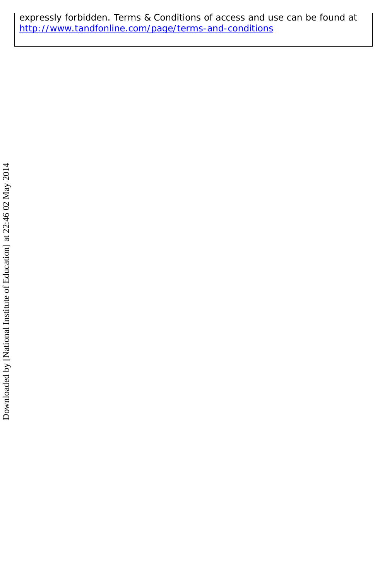expressly forbidden. Terms & Conditions of access and use can be found at <http://www.tandfonline.com/page/terms-and-conditions>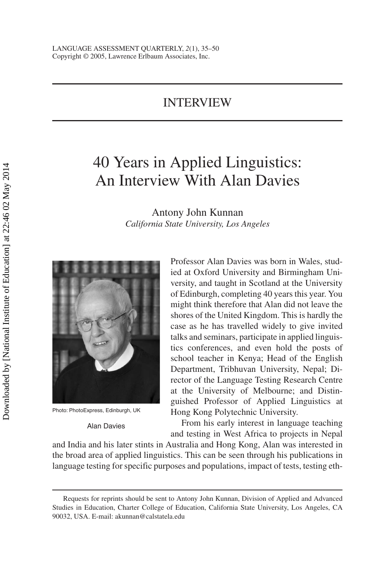## INTERVIEW

# 40 Years in Applied Linguistics: An Interview With Alan Davies

Antony John Kunnan *California State University, Los Angeles*



Photo: PhotoExpress, Edinburgh, UK

#### Alan Davies

Professor Alan Davies was born in Wales, studied at Oxford University and Birmingham University, and taught in Scotland at the University of Edinburgh, completing 40 years this year. You might think therefore that Alan did not leave the shores of the United Kingdom. This is hardly the case as he has travelled widely to give invited talks and seminars, participate in applied linguistics conferences, and even hold the posts of school teacher in Kenya; Head of the English Department, Tribhuvan University, Nepal; Director of the Language Testing Research Centre at the University of Melbourne; and Distinguished Professor of Applied Linguistics at Hong Kong Polytechnic University.

From his early interest in language teaching and testing in West Africa to projects in Nepal

and India and his later stints in Australia and Hong Kong, Alan was interested in the broad area of applied linguistics. This can be seen through his publications in language testing for specific purposes and populations, impact of tests, testing eth-

Requests for reprints should be sent to Antony John Kunnan, Division of Applied and Advanced Studies in Education, Charter College of Education, California State University, Los Angeles, CA 90032, USA. E-mail: akunnan@calstatela.edu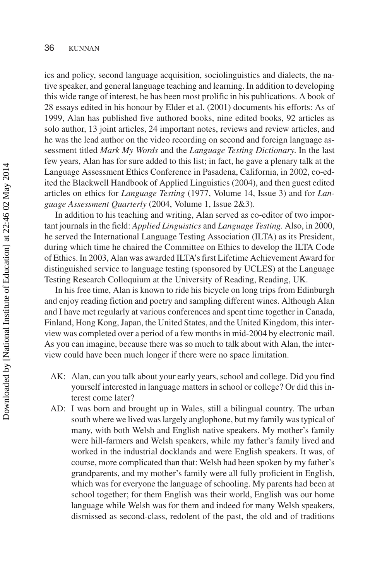ics and policy, second language acquisition, sociolinguistics and dialects, the native speaker, and general language teaching and learning. In addition to developing this wide range of interest, he has been most prolific in his publications. A book of 28 essays edited in his honour by Elder et al. (2001) documents his efforts: As of 1999, Alan has published five authored books, nine edited books, 92 articles as solo author, 13 joint articles, 24 important notes, reviews and review articles, and he was the lead author on the video recording on second and foreign language assessment titled *Mark My Words* and the *Language Testing Dictionary*. In the last few years, Alan has for sure added to this list; in fact, he gave a plenary talk at the Language Assessment Ethics Conference in Pasadena, California, in 2002, co-edited the Blackwell Handbook of Applied Linguistics (2004), and then guest edited articles on ethics for *Language Testing* (1977, Volume 14, Issue 3) and for *Language Assessment Quarterly* (2004, Volume 1, Issue 2&3).

In addition to his teaching and writing, Alan served as co-editor of two important journals in the field: *Applied Linguistics* and *Language Testing.* Also, in 2000, he served the International Language Testing Association (ILTA) as its President, during which time he chaired the Committee on Ethics to develop the ILTA Code of Ethics. In 2003, Alan was awarded ILTA's first Lifetime Achievement Award for distinguished service to language testing (sponsored by UCLES) at the Language Testing Research Colloquium at the University of Reading, Reading, UK.

In his free time, Alan is known to ride his bicycle on long trips from Edinburgh and enjoy reading fiction and poetry and sampling different wines. Although Alan and I have met regularly at various conferences and spent time together in Canada, Finland, Hong Kong, Japan, the United States, and the United Kingdom, this interview was completed over a period of a few months in mid-2004 by electronic mail. As you can imagine, because there was so much to talk about with Alan, the interview could have been much longer if there were no space limitation.

- AK: Alan, can you talk about your early years, school and college. Did you find yourself interested in language matters in school or college? Or did this interest come later?
- AD: I was born and brought up in Wales, still a bilingual country. The urban south where we lived was largely anglophone, but my family was typical of many, with both Welsh and English native speakers. My mother's family were hill-farmers and Welsh speakers, while my father's family lived and worked in the industrial docklands and were English speakers. It was, of course, more complicated than that: Welsh had been spoken by my father's grandparents, and my mother's family were all fully proficient in English, which was for everyone the language of schooling. My parents had been at school together; for them English was their world, English was our home language while Welsh was for them and indeed for many Welsh speakers, dismissed as second-class, redolent of the past, the old and of traditions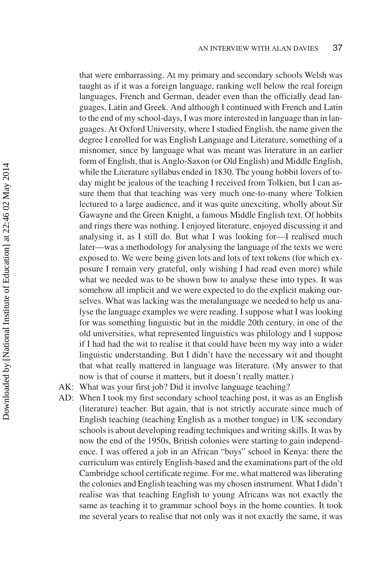that were embarrassing. At my primary and secondary schools Welsh was taught as if it was a foreign language, ranking well below the real foreign languages, French and German, deader even than the officially dead languages, Latin and Greek. And although I continued with French and Latin to the end of my school-days, I was more interested in language than in languages. At Oxford University, where I studied English, the name given the degree I enrolled for was English Language and Literature, something of a misnomer, since by language what was meant was literature in an earlier form of English, that is Anglo-Saxon (or Old English) and Middle English, while the Literature syllabus ended in 1830. The young hobbit lovers of today might be jealous of the teaching I received from Tolkien, but I can assure them that that teaching was very much one-to-many where Tolkien lectured to a large audience, and it was quite unexciting, wholly about Sir Gawayne and the Green Knight, a famous Middle English text. Of hobbits and rings there was nothing. I enjoyed literature, enjoyed discussing it and analysing it, as I still do. But what I was looking for—I realised much later—was a methodology for analysing the language of the texts we were exposed to. We were being given lots and lots of text tokens (for which exposure I remain very grateful, only wishing I had read even more) while what we needed was to be shown how to analyse these into types. It was somehow all implicit and we were expected to do the explicit making ourselves. What was lacking was the metalanguage we needed to help us analyse the language examples we were reading. I suppose what I was looking for was something linguistic but in the middle 20th century, in one of the old universities, what represented linguistics was philology and I suppose if I had had the wit to realise it that could have been my way into a wider linguistic understanding. But I didn't have the necessary wit and thought that what really mattered in language was literature. (My answer to that now is that of course it matters, but it doesn't really matter.)

- AK: What was your first job? Did it involve language teaching?
- AD: When I took my first secondary school teaching post, it was as an English (literature) teacher. But again, that is not strictly accurate since much of English teaching (teaching English as a mother tongue) in UK secondary schools is about developing reading techniques and writing skills. It was by now the end of the 1950s, British colonies were starting to gain independence. I was offered a job in an African "boys" school in Kenya: there the curriculum was entirely English-based and the examinations part of the old Cambridge school certificate regime. For me, what mattered was liberating the colonies and English teaching was my chosen instrument. What I didn't realise was that teaching English to young Africans was not exactly the same as teaching it to grammar school boys in the home counties. It took me several years to realise that not only was it not exactly the same, it was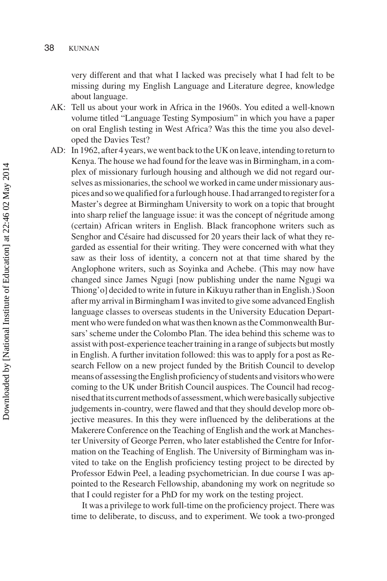very different and that what I lacked was precisely what I had felt to be missing during my English Language and Literature degree, knowledge about language.

- AK: Tell us about your work in Africa in the 1960s. You edited a well-known volume titled "Language Testing Symposium" in which you have a paper on oral English testing in West Africa? Was this the time you also developed the Davies Test?
- AD: In 1962, after 4 years, we went back to the UK on leave, intending to return to Kenya. The house we had found for the leave was in Birmingham, in a complex of missionary furlough housing and although we did not regard ourselves as missionaries, the school we worked in came under missionary auspices and so we qualified for a furlough house. I had arranged to register for a Master's degree at Birmingham University to work on a topic that brought into sharp relief the language issue: it was the concept of négritude among (certain) African writers in English. Black francophone writers such as Senghor and Césaire had discussed for 20 years their lack of what they regarded as essential for their writing. They were concerned with what they saw as their loss of identity, a concern not at that time shared by the Anglophone writers, such as Soyinka and Achebe. (This may now have changed since James Ngugi [now publishing under the name Ngugi wa Thiong'o] decided to write in future in Kikuyu rather than in English.) Soon after my arrival in Birmingham I was invited to give some advanced English language classes to overseas students in the University Education Department who were funded on what was then known as the Commonwealth Bursars' scheme under the Colombo Plan. The idea behind this scheme was to assist with post-experience teacher training in a range of subjects but mostly in English. A further invitation followed: this was to apply for a post as Research Fellow on a new project funded by the British Council to develop means of assessing the English proficiency of students and visitors who were coming to the UK under British Council auspices. The Council had recognisedthatitscurrentmethodsofassessment,whichwerebasicallysubjective judgements in-country, were flawed and that they should develop more objective measures. In this they were influenced by the deliberations at the Makerere Conference on the Teaching of English and the work at Manchester University of George Perren, who later established the Centre for Information on the Teaching of English. The University of Birmingham was invited to take on the English proficiency testing project to be directed by Professor Edwin Peel, a leading psychometrician. In due course I was appointed to the Research Fellowship, abandoning my work on negritude so that I could register for a PhD for my work on the testing project.

It was a privilege to work full-time on the proficiency project. There was time to deliberate, to discuss, and to experiment. We took a two-pronged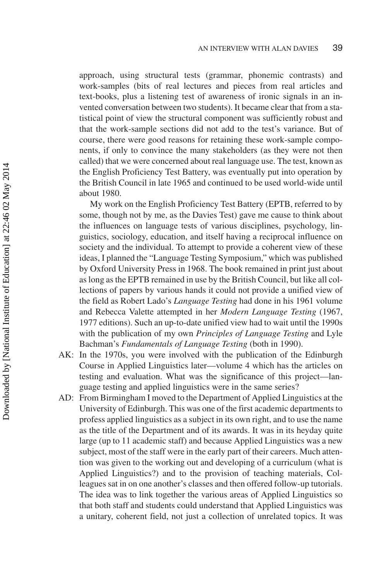approach, using structural tests (grammar, phonemic contrasts) and work-samples (bits of real lectures and pieces from real articles and text-books, plus a listening test of awareness of ironic signals in an invented conversation between two students). It became clear that from a statistical point of view the structural component was sufficiently robust and that the work-sample sections did not add to the test's variance. But of course, there were good reasons for retaining these work-sample components, if only to convince the many stakeholders (as they were not then called) that we were concerned about real language use. The test, known as the English Proficiency Test Battery, was eventually put into operation by the British Council in late 1965 and continued to be used world-wide until about 1980.

My work on the English Proficiency Test Battery (EPTB, referred to by some, though not by me, as the Davies Test) gave me cause to think about the influences on language tests of various disciplines, psychology, linguistics, sociology, education, and itself having a reciprocal influence on society and the individual. To attempt to provide a coherent view of these ideas, I planned the "Language Testing Symposium," which was published by Oxford University Press in 1968. The book remained in print just about as long as the EPTB remained in use by the British Council, but like all collections of papers by various hands it could not provide a unified view of the field as Robert Lado's *Language Testing* had done in his 1961 volume and Rebecca Valette attempted in her *Modern Language Testing* (1967, 1977 editions). Such an up-to-date unified view had to wait until the 1990s with the publication of my own *Principles of Language Testing* and Lyle Bachman's *Fundamentals of Language Testing* (both in 1990).

- AK: In the 1970s, you were involved with the publication of the Edinburgh Course in Applied Linguistics later—volume 4 which has the articles on testing and evaluation. What was the significance of this project—language testing and applied linguistics were in the same series?
- AD: From Birmingham I moved to the Department of Applied Linguistics at the University of Edinburgh. This was one of the first academic departments to profess applied linguistics as a subject in its own right, and to use the name as the title of the Department and of its awards. It was in its heyday quite large (up to 11 academic staff) and because Applied Linguistics was a new subject, most of the staff were in the early part of their careers. Much attention was given to the working out and developing of a curriculum (what is Applied Linguistics?) and to the provision of teaching materials, Colleagues sat in on one another's classes and then offered follow-up tutorials. The idea was to link together the various areas of Applied Linguistics so that both staff and students could understand that Applied Linguistics was a unitary, coherent field, not just a collection of unrelated topics. It was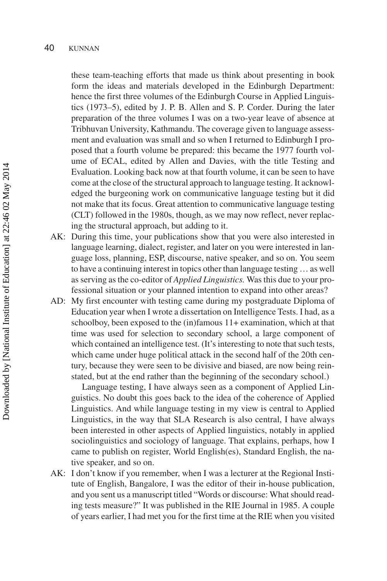these team-teaching efforts that made us think about presenting in book form the ideas and materials developed in the Edinburgh Department: hence the first three volumes of the Edinburgh Course in Applied Linguistics (1973–5), edited by J. P. B. Allen and S. P. Corder. During the later preparation of the three volumes I was on a two-year leave of absence at Tribhuvan University, Kathmandu. The coverage given to language assessment and evaluation was small and so when I returned to Edinburgh I proposed that a fourth volume be prepared: this became the 1977 fourth volume of ECAL, edited by Allen and Davies, with the title Testing and Evaluation. Looking back now at that fourth volume, it can be seen to have come at the close of the structural approach to language testing. It acknowledged the burgeoning work on communicative language testing but it did not make that its focus. Great attention to communicative language testing (CLT) followed in the 1980s, though, as we may now reflect, never replacing the structural approach, but adding to it.

- AK: During this time, your publications show that you were also interested in language learning, dialect, register, and later on you were interested in language loss, planning, ESP, discourse, native speaker, and so on. You seem to have a continuing interest in topics other than language testing … as well as serving as the co-editor of *Applied Linguistics.* Was this due to your professional situation or your planned intention to expand into other areas?
- AD: My first encounter with testing came during my postgraduate Diploma of Education year when I wrote a dissertation on Intelligence Tests. I had, as a schoolboy, been exposed to the (in)famous 11+ examination, which at that time was used for selection to secondary school, a large component of which contained an intelligence test. (It's interesting to note that such tests, which came under huge political attack in the second half of the 20th century, because they were seen to be divisive and biased, are now being reinstated, but at the end rather than the beginning of the secondary school.)

Language testing, I have always seen as a component of Applied Linguistics. No doubt this goes back to the idea of the coherence of Applied Linguistics. And while language testing in my view is central to Applied Linguistics, in the way that SLA Research is also central, I have always been interested in other aspects of Applied linguistics, notably in applied sociolinguistics and sociology of language. That explains, perhaps, how I came to publish on register, World English(es), Standard English, the native speaker, and so on.

AK: I don't know if you remember, when I was a lecturer at the Regional Institute of English, Bangalore, I was the editor of their in-house publication, and you sent us a manuscript titled "Words or discourse: What should reading tests measure?" It was published in the RIE Journal in 1985. A couple of years earlier, I had met you for the first time at the RIE when you visited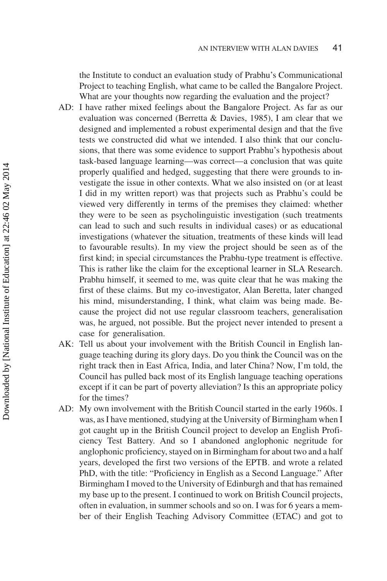the Institute to conduct an evaluation study of Prabhu's Communicational Project to teaching English, what came to be called the Bangalore Project. What are your thoughts now regarding the evaluation and the project?

- AD: I have rather mixed feelings about the Bangalore Project. As far as our evaluation was concerned (Berretta & Davies, 1985), I am clear that we designed and implemented a robust experimental design and that the five tests we constructed did what we intended. I also think that our conclusions, that there was some evidence to support Prabhu's hypothesis about task-based language learning—was correct—a conclusion that was quite properly qualified and hedged, suggesting that there were grounds to investigate the issue in other contexts. What we also insisted on (or at least I did in my written report) was that projects such as Prabhu's could be viewed very differently in terms of the premises they claimed: whether they were to be seen as psycholinguistic investigation (such treatments can lead to such and such results in individual cases) or as educational investigations (whatever the situation, treatments of these kinds will lead to favourable results). In my view the project should be seen as of the first kind; in special circumstances the Prabhu-type treatment is effective. This is rather like the claim for the exceptional learner in SLA Research. Prabhu himself, it seemed to me, was quite clear that he was making the first of these claims. But my co-investigator, Alan Beretta, later changed his mind, misunderstanding, I think, what claim was being made. Because the project did not use regular classroom teachers, generalisation was, he argued, not possible. But the project never intended to present a case for generalisation.
- AK: Tell us about your involvement with the British Council in English language teaching during its glory days. Do you think the Council was on the right track then in East Africa, India, and later China? Now, I'm told, the Council has pulled back most of its English language teaching operations except if it can be part of poverty alleviation? Is this an appropriate policy for the times?
- AD: My own involvement with the British Council started in the early 1960s. I was, as I have mentioned, studying at the University of Birmingham when I got caught up in the British Council project to develop an English Proficiency Test Battery. And so I abandoned anglophonic negritude for anglophonic proficiency, stayed on in Birmingham for about two and a half years, developed the first two versions of the EPTB. and wrote a related PhD, with the title: "Proficiency in English as a Second Language." After Birmingham I moved to the University of Edinburgh and that has remained my base up to the present. I continued to work on British Council projects, often in evaluation, in summer schools and so on. I was for 6 years a member of their English Teaching Advisory Committee (ETAC) and got to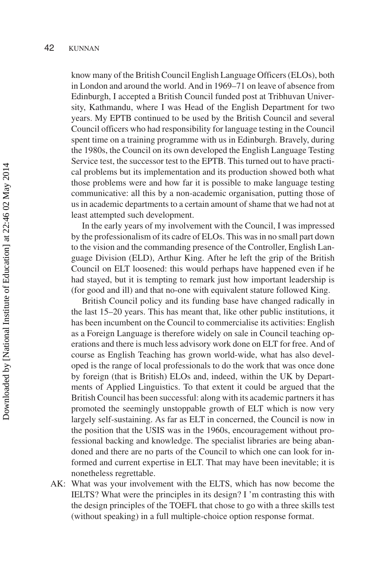know many of the British Council English Language Officers (ELOs), both in London and around the world. And in 1969–71 on leave of absence from Edinburgh, I accepted a British Council funded post at Tribhuvan University, Kathmandu, where I was Head of the English Department for two years. My EPTB continued to be used by the British Council and several Council officers who had responsibility for language testing in the Council spent time on a training programme with us in Edinburgh. Bravely, during the 1980s, the Council on its own developed the English Language Testing Service test, the successor test to the EPTB. This turned out to have practical problems but its implementation and its production showed both what those problems were and how far it is possible to make language testing communicative: all this by a non-academic organisation, putting those of us in academic departments to a certain amount of shame that we had not at least attempted such development.

In the early years of my involvement with the Council, I was impressed by the professionalism of its cadre of ELOs. This was in no small part down to the vision and the commanding presence of the Controller, English Language Division (ELD), Arthur King. After he left the grip of the British Council on ELT loosened: this would perhaps have happened even if he had stayed, but it is tempting to remark just how important leadership is (for good and ill) and that no-one with equivalent stature followed King.

British Council policy and its funding base have changed radically in the last 15–20 years. This has meant that, like other public institutions, it has been incumbent on the Council to commercialise its activities: English as a Foreign Language is therefore widely on sale in Council teaching operations and there is much less advisory work done on ELT for free. And of course as English Teaching has grown world-wide, what has also developed is the range of local professionals to do the work that was once done by foreign (that is British) ELOs and, indeed, within the UK by Departments of Applied Linguistics. To that extent it could be argued that the British Council has been successful: along with its academic partners it has promoted the seemingly unstoppable growth of ELT which is now very largely self-sustaining. As far as ELT in concerned, the Council is now in the position that the USIS was in the 1960s, encouragement without professional backing and knowledge. The specialist libraries are being abandoned and there are no parts of the Council to which one can look for informed and current expertise in ELT. That may have been inevitable; it is nonetheless regrettable.

AK: What was your involvement with the ELTS, which has now become the IELTS? What were the principles in its design? I 'm contrasting this with the design principles of the TOEFL that chose to go with a three skills test (without speaking) in a full multiple-choice option response format.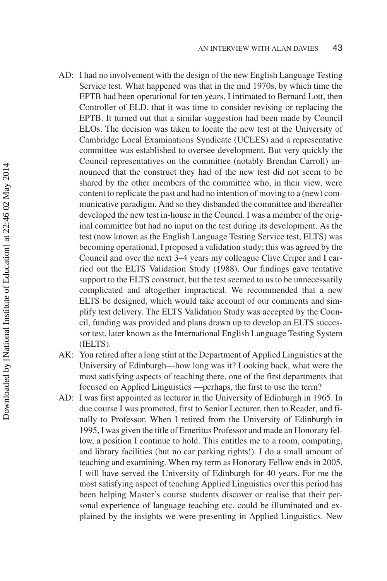- AD: I had no involvement with the design of the new English Language Testing Service test. What happened was that in the mid 1970s, by which time the EPTB had been operational for ten years, I intimated to Bernard Lott, then Controller of ELD, that it was time to consider revising or replacing the EPTB. It turned out that a similar suggestion had been made by Council ELOs. The decision was taken to locate the new test at the University of Cambridge Local Examinations Syndicate (UCLES) and a representative committee was established to oversee development. But very quickly the Council representatives on the committee (notably Brendan Carroll) announced that the construct they had of the new test did not seem to be shared by the other members of the committee who, in their view, were content to replicate the past and had no intention of moving to a (new) communicative paradigm. And so they disbanded the committee and thereafter developed the new test in-house in the Council. I was a member of the original committee but had no input on the test during its development. As the test (now known as the English Language Testing Service test, ELTS) was becoming operational, I proposed a validation study; this was agreed by the Council and over the next 3–4 years my colleague Clive Criper and I carried out the ELTS Validation Study (1988). Our findings gave tentative support to the ELTS construct, but the test seemed to us to be unnecessarily complicated and altogether impractical. We recommended that a new ELTS be designed, which would take account of our comments and simplify test delivery. The ELTS Validation Study was accepted by the Council, funding was provided and plans drawn up to develop an ELTS successor test, later known as the International English Language Testing System (IELTS).
- AK: You retired after a long stint at the Department of Applied Linguistics at the University of Edinburgh—how long was it? Looking back, what were the most satisfying aspects of teaching there, one of the first departments that focused on Applied Linguistics —perhaps, the first to use the term?
- AD: I was first appointed as lecturer in the University of Edinburgh in 1965. In due course I was promoted, first to Senior Lecturer, then to Reader, and finally to Professor. When I retired from the University of Edinburgh in 1995, I was given the title of Emeritus Professor and made an Honorary fellow, a position I continue to hold. This entitles me to a room, computing, and library facilities (but no car parking rights!). I do a small amount of teaching and examining. When my term as Honorary Fellow ends in 2005, I will have served the University of Edinburgh for 40 years. For me the most satisfying aspect of teaching Applied Linguistics over this period has been helping Master's course students discover or realise that their personal experience of language teaching etc. could be illuminated and explained by the insights we were presenting in Applied Linguistics. New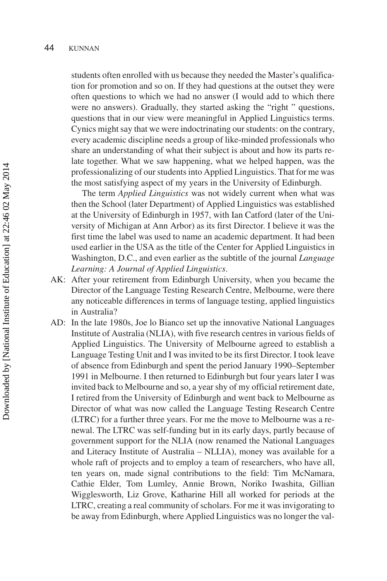students often enrolled with us because they needed the Master's qualification for promotion and so on. If they had questions at the outset they were often questions to which we had no answer (I would add to which there were no answers). Gradually, they started asking the "right " questions, questions that in our view were meaningful in Applied Linguistics terms. Cynics might say that we were indoctrinating our students: on the contrary, every academic discipline needs a group of like-minded professionals who share an understanding of what their subject is about and how its parts relate together. What we saw happening, what we helped happen, was the professionalizing of our students into Applied Linguistics. That for me was the most satisfying aspect of my years in the University of Edinburgh.

The term *Applied Linguistics* was not widely current when what was then the School (later Department) of Applied Linguistics was established at the University of Edinburgh in 1957, with Ian Catford (later of the University of Michigan at Ann Arbor) as its first Director. I believe it was the first time the label was used to name an academic department. It had been used earlier in the USA as the title of the Center for Applied Linguistics in Washington, D.C., and even earlier as the subtitle of the journal *Language Learning: A Journal of Applied Linguistics*.

- AK: After your retirement from Edinburgh University, when you became the Director of the Language Testing Research Centre, Melbourne, were there any noticeable differences in terms of language testing, applied linguistics in Australia?
- AD: In the late 1980s, Joe lo Bianco set up the innovative National Languages Institute of Australia (NLIA), with five research centres in various fields of Applied Linguistics. The University of Melbourne agreed to establish a Language Testing Unit and I was invited to be its first Director. I took leave of absence from Edinburgh and spent the period January 1990–September 1991 in Melbourne. I then returned to Edinburgh but four years later I was invited back to Melbourne and so, a year shy of my official retirement date, I retired from the University of Edinburgh and went back to Melbourne as Director of what was now called the Language Testing Research Centre (LTRC) for a further three years. For me the move to Melbourne was a renewal. The LTRC was self-funding but in its early days, partly because of government support for the NLIA (now renamed the National Languages and Literacy Institute of Australia – NLLIA), money was available for a whole raft of projects and to employ a team of researchers, who have all, ten years on, made signal contributions to the field: Tim McNamara, Cathie Elder, Tom Lumley, Annie Brown, Noriko Iwashita, Gillian Wigglesworth, Liz Grove, Katharine Hill all worked for periods at the LTRC, creating a real community of scholars. For me it was invigorating to be away from Edinburgh, where Applied Linguistics was no longer the val-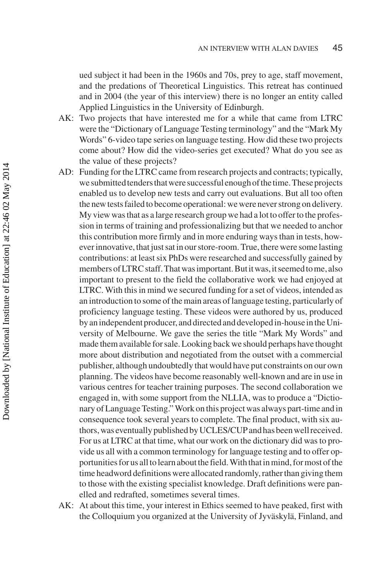ued subject it had been in the 1960s and 70s, prey to age, staff movement, and the predations of Theoretical Linguistics. This retreat has continued and in 2004 (the year of this interview) there is no longer an entity called Applied Linguistics in the University of Edinburgh.

- AK: Two projects that have interested me for a while that came from LTRC were the "Dictionary of Language Testing terminology" and the "Mark My Words" 6-video tape series on language testing. How did these two projects come about? How did the video-series get executed? What do you see as the value of these projects?
- AD: Funding for the LTRC came from research projects and contracts; typically, we submitted tenders that were successful enough of the time. These projects enabled us to develop new tests and carry out evaluations. But all too often the new tests failed to become operational: we were never strong on delivery. My view was that as a large research group we had a lot to offer to the profession in terms of training and professionalizing but that we needed to anchor this contribution more firmly and in more enduring ways than in tests, however innovative, that just sat in our store-room. True, there were some lasting contributions: at least six PhDs were researched and successfully gained by members of LTRC staff. That was important. But it was, it seemed to me, also important to present to the field the collaborative work we had enjoyed at LTRC. With this in mind we secured funding for a set of videos, intended as an introduction to some of the main areas of language testing, particularly of proficiency language testing. These videos were authored by us, produced by an independent producer, and directed and developed in-house in the University of Melbourne. We gave the series the title "Mark My Words" and made them available for sale. Looking back we should perhaps have thought more about distribution and negotiated from the outset with a commercial publisher, although undoubtedly that would have put constraints on our own planning. The videos have become reasonably well-known and are in use in various centres for teacher training purposes. The second collaboration we engaged in, with some support from the NLLIA, was to produce a "Dictionary of Language Testing." Work on this project was always part-time and in consequence took several years to complete. The final product, with six authors, was eventually published by UCLES/CUP and has been well received. For us at LTRC at that time, what our work on the dictionary did was to provide us all with a common terminology for language testing and to offer opportunities for us all to learn about the field. With that in mind, for most of the time headword definitions were allocated randomly, rather than giving them to those with the existing specialist knowledge. Draft definitions were panelled and redrafted, sometimes several times.
- AK: At about this time, your interest in Ethics seemed to have peaked, first with the Colloquium you organized at the University of Jyväskylä, Finland, and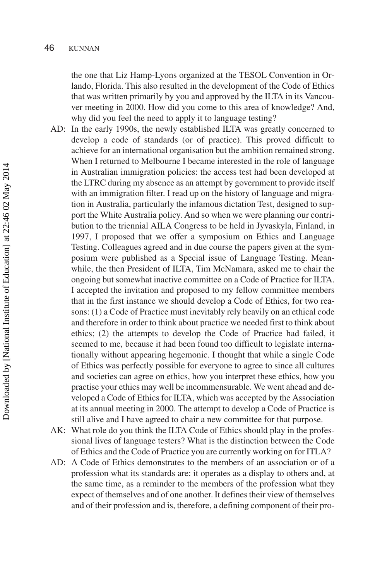the one that Liz Hamp-Lyons organized at the TESOL Convention in Orlando, Florida. This also resulted in the development of the Code of Ethics that was written primarily by you and approved by the ILTA in its Vancouver meeting in 2000. How did you come to this area of knowledge? And, why did you feel the need to apply it to language testing?

- AD: In the early 1990s, the newly established ILTA was greatly concerned to develop a code of standards (or of practice). This proved difficult to achieve for an international organisation but the ambition remained strong. When I returned to Melbourne I became interested in the role of language in Australian immigration policies: the access test had been developed at the LTRC during my absence as an attempt by government to provide itself with an immigration filter. I read up on the history of language and migration in Australia, particularly the infamous dictation Test, designed to support the White Australia policy. And so when we were planning our contribution to the triennial AILA Congress to be held in Jyvaskyla, Finland, in 1997, I proposed that we offer a symposium on Ethics and Language Testing. Colleagues agreed and in due course the papers given at the symposium were published as a Special issue of Language Testing. Meanwhile, the then President of ILTA, Tim McNamara, asked me to chair the ongoing but somewhat inactive committee on a Code of Practice for ILTA. I accepted the invitation and proposed to my fellow committee members that in the first instance we should develop a Code of Ethics, for two reasons: (1) a Code of Practice must inevitably rely heavily on an ethical code and therefore in order to think about practice we needed first to think about ethics; (2) the attempts to develop the Code of Practice had failed, it seemed to me, because it had been found too difficult to legislate internationally without appearing hegemonic. I thought that while a single Code of Ethics was perfectly possible for everyone to agree to since all cultures and societies can agree on ethics, how you interpret these ethics, how you practise your ethics may well be incommensurable. We went ahead and developed a Code of Ethics for ILTA, which was accepted by the Association at its annual meeting in 2000. The attempt to develop a Code of Practice is still alive and I have agreed to chair a new committee for that purpose.
- AK: What role do you think the ILTA Code of Ethics should play in the professional lives of language testers? What is the distinction between the Code of Ethics and the Code of Practice you are currently working on for ITLA?
- AD: A Code of Ethics demonstrates to the members of an association or of a profession what its standards are: it operates as a display to others and, at the same time, as a reminder to the members of the profession what they expect of themselves and of one another. It defines their view of themselves and of their profession and is, therefore, a defining component of their pro-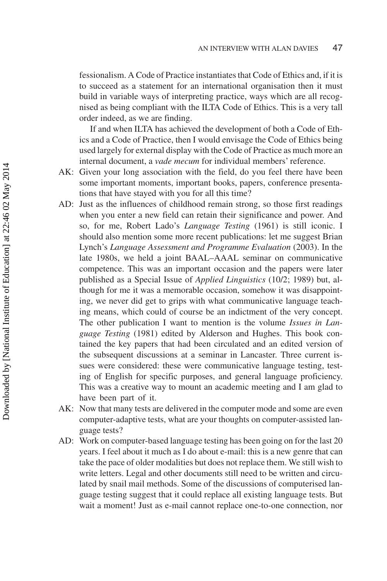fessionalism. A Code of Practice instantiates that Code of Ethics and, if it is to succeed as a statement for an international organisation then it must build in variable ways of interpreting practice, ways which are all recognised as being compliant with the ILTA Code of Ethics. This is a very tall order indeed, as we are finding.

If and when ILTA has achieved the development of both a Code of Ethics and a Code of Practice, then I would envisage the Code of Ethics being used largely for external display with the Code of Practice as much more an internal document, a *vade mecum* for individual members' reference.

- AK: Given your long association with the field, do you feel there have been some important moments, important books, papers, conference presentations that have stayed with you for all this time?
- AD: Just as the influences of childhood remain strong, so those first readings when you enter a new field can retain their significance and power. And so, for me, Robert Lado's *Language Testing* (1961) is still iconic. I should also mention some more recent publications: let me suggest Brian Lynch's *Language Assessment and Programme Evaluation* (2003). In the late 1980s, we held a joint BAAL–AAAL seminar on communicative competence. This was an important occasion and the papers were later published as a Special Issue of *Applied Linguistics* (10/2; 1989) but, although for me it was a memorable occasion, somehow it was disappointing, we never did get to grips with what communicative language teaching means, which could of course be an indictment of the very concept. The other publication I want to mention is the volume *Issues in Language Testing* (1981) edited by Alderson and Hughes. This book contained the key papers that had been circulated and an edited version of the subsequent discussions at a seminar in Lancaster. Three current issues were considered: these were communicative language testing, testing of English for specific purposes, and general language proficiency. This was a creative way to mount an academic meeting and I am glad to have been part of it.
- AK: Now that many tests are delivered in the computer mode and some are even computer-adaptive tests, what are your thoughts on computer-assisted language tests?
- AD: Work on computer-based language testing has been going on for the last 20 years. I feel about it much as I do about e-mail: this is a new genre that can take the pace of older modalities but does not replace them. We still wish to write letters. Legal and other documents still need to be written and circulated by snail mail methods. Some of the discussions of computerised language testing suggest that it could replace all existing language tests. But wait a moment! Just as e-mail cannot replace one-to-one connection, nor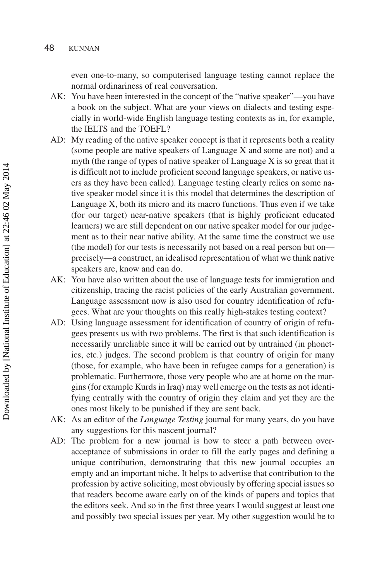even one-to-many, so computerised language testing cannot replace the normal ordinariness of real conversation.

- AK: You have been interested in the concept of the "native speaker"—you have a book on the subject. What are your views on dialects and testing especially in world-wide English language testing contexts as in, for example, the IELTS and the TOEFL?
- AD: My reading of the native speaker concept is that it represents both a reality (some people are native speakers of Language X and some are not) and a myth (the range of types of native speaker of Language X is so great that it is difficult not to include proficient second language speakers, or native users as they have been called). Language testing clearly relies on some native speaker model since it is this model that determines the description of Language X, both its micro and its macro functions. Thus even if we take (for our target) near-native speakers (that is highly proficient educated learners) we are still dependent on our native speaker model for our judgement as to their near native ability. At the same time the construct we use (the model) for our tests is necessarily not based on a real person but on precisely—a construct, an idealised representation of what we think native speakers are, know and can do.
- AK: You have also written about the use of language tests for immigration and citizenship, tracing the racist policies of the early Australian government. Language assessment now is also used for country identification of refugees. What are your thoughts on this really high-stakes testing context?
- AD: Using language assessment for identification of country of origin of refugees presents us with two problems. The first is that such identification is necessarily unreliable since it will be carried out by untrained (in phonetics, etc.) judges. The second problem is that country of origin for many (those, for example, who have been in refugee camps for a generation) is problematic. Furthermore, those very people who are at home on the margins (for example Kurds in Iraq) may well emerge on the tests as not identifying centrally with the country of origin they claim and yet they are the ones most likely to be punished if they are sent back.
- AK: As an editor of the *Language Testing* journal for many years, do you have any suggestions for this nascent journal?
- AD: The problem for a new journal is how to steer a path between overacceptance of submissions in order to fill the early pages and defining a unique contribution, demonstrating that this new journal occupies an empty and an important niche. It helps to advertise that contribution to the profession by active soliciting, most obviously by offering special issues so that readers become aware early on of the kinds of papers and topics that the editors seek. And so in the first three years I would suggest at least one and possibly two special issues per year. My other suggestion would be to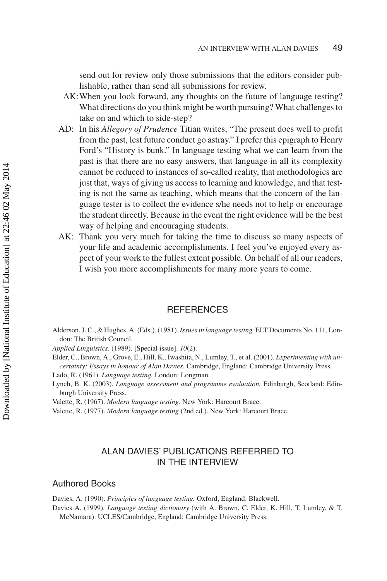send out for review only those submissions that the editors consider publishable, rather than send all submissions for review.

- AK:When you look forward, any thoughts on the future of language testing? What directions do you think might be worth pursuing? What challenges to take on and which to side-step?
- AD: In his *Allegory of Prudence* Titian writes, "The present does well to profit from the past, lest future conduct go astray." I prefer this epigraph to Henry Ford's "History is bunk." In language testing what we can learn from the past is that there are no easy answers, that language in all its complexity cannot be reduced to instances of so-called reality, that methodologies are just that, ways of giving us access to learning and knowledge, and that testing is not the same as teaching, which means that the concern of the language tester is to collect the evidence s/he needs not to help or encourage the student directly. Because in the event the right evidence will be the best way of helping and encouraging students.
- AK: Thank you very much for taking the time to discuss so many aspects of your life and academic accomplishments. I feel you've enjoyed every aspect of your work to the fullest extent possible. On behalf of all our readers, I wish you more accomplishments for many more years to come.

#### **REFERENCES**

Alderson, J. C., & Hughes, A. (Eds.). (1981). *Issues in language testing.* ELT Documents No. 111, London: The British Council.

*Applied Linguistics.* (1989). [Special issue]. *10*(2).

Elder, C., Brown, A., Grove, E., Hill, K., Iwashita, N., Lumley, T., et al. (2001). *Experimenting with uncertainty: Essays in honour of Alan Davies.* Cambridge, England: Cambridge University Press.

Lado, R. (1961). *Language testing.* London: Longman.

Lynch, B. K. (2003). *Language assessment and programme evaluation.* Edinburgh, Scotland: Edinburgh University Press.

Valette, R. (1967). *Modern language testing.* New York: Harcourt Brace.

Valette, R. (1977). *Modern language testing* (2nd ed.). New York: Harcourt Brace.

### ALAN DAVIES' PUBLICATIONS REFERRED TO IN THE INTERVIEW

#### Authored Books

Davies, A. (1990). *Principles of language testing.* Oxford, England: Blackwell.

Davies A. (1999). *Language testing dictionary* (with A. Brown, C. Elder, K. Hill, T. Lumley, & T. McNamara). UCLES/Cambridge, England: Cambridge University Press.